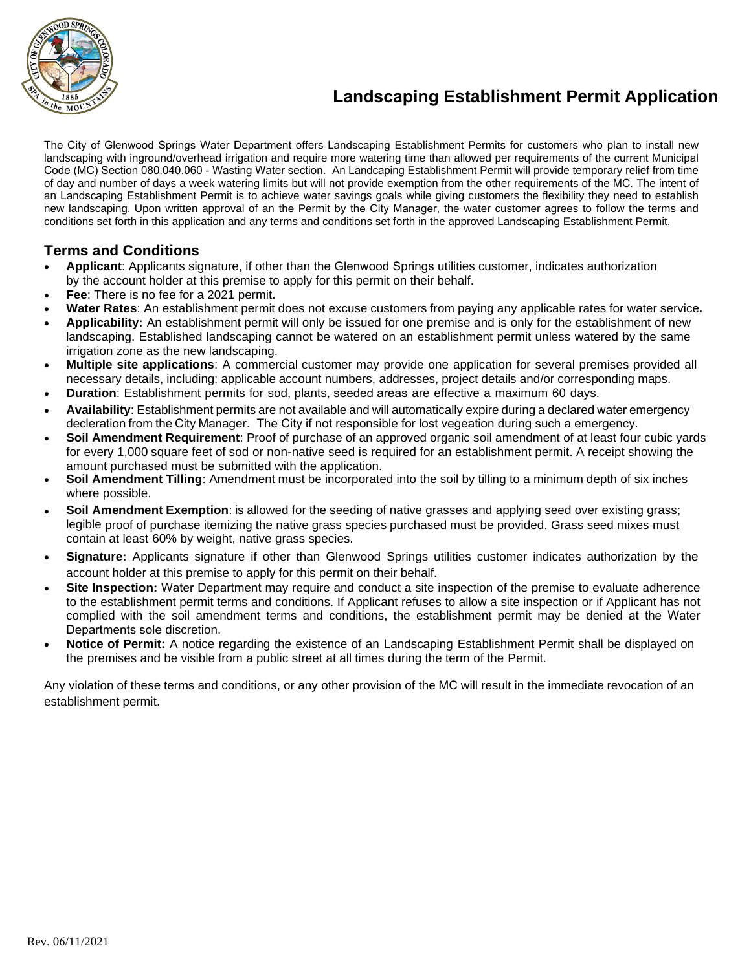

## **Landscaping Establishment Permit Application**

The City of Glenwood Springs Water Department offers Landscaping Establishment Permits for customers who plan to install new landscaping with inground/overhead irrigation and require more watering time than allowed per requirements of the current Municipal Code (MC) Section 080.040.060 - Wasting Water section. An Landcaping Establishment Permit will provide temporary relief from time of day and number of days a week watering limits but will not provide exemption from the other requirements of the MC. The intent of an Landscaping Establishment Permit is to achieve water savings goals while giving customers the flexibility they need to establish new landscaping. Upon written approval of an the Permit by the City Manager, the water customer agrees to follow the terms and conditions set forth in this application and any terms and conditions set forth in the approved Landscaping Establishment Permit.

## **Terms and Conditions**

- **Applicant**: Applicants signature, if other than the Glenwood Springs utilities customer, indicates authorization by the account holder at this premise to apply for this permit on their behalf.
- **Fee**: There is no fee for a 2021 permit.
- **Water Rates**: An establishment permit does not excuse customers from paying any applicable rates for water service**.**
- **Applicability:** An establishment permit will only be issued for one premise and is only for the establishment of new landscaping. Established landscaping cannot be watered on an establishment permit unless watered by the same irrigation zone as the new landscaping.
- **Multiple site applications**: A commercial customer may provide one application for several premises provided all necessary details, including: applicable account numbers, addresses, project details and/or corresponding maps.
- **Duration**: Establishment permits for sod, plants, seeded areas are effective a maximum 60 days.
- **Availability**: Establishment permits are not available and will automatically expire during a declared water emergency decleration from the City Manager. The City if not responsible for lost vegeation during such a emergency.
- **Soil Amendment Requirement**: Proof of purchase of an approved organic soil amendment of at least four cubic yards for every 1,000 square feet of sod or non-native seed is required for an establishment permit. A receipt showing the amount pur[chased must be submitted with the application.](https://www.csu.org/Documents/SoilAmendments.pdf?csf=1&e=T6OMFX)
- **Soil Amendment Tilling**: Amendment must be incorporated into the soil by tilling to a minimum depth of six inches where possible.
- **Soil Amendment Exemption**: is allowed for the seeding of native grasses and applying seed over existing grass; legible proof of purchase itemizing the native grass species purchased [must be provided. Grass seed mixes must](https://extension.colostate.edu/topic-areas/agriculture/selecting-an-analytical-laboratory-0-520/) [contain at least 60% by weight, native grass species.](https://extension.colostate.edu/topic-areas/agriculture/selecting-an-analytical-laboratory-0-520/)
- **Signature:** Applicants signature if other than Glenwood Springs utilities customer indicates authorization by the account holder at this premise to apply for this permit on their behalf.
- **Site Inspection:** Water Department may require and conduct a site inspection of the premise to evaluate adherence to the establishment permit terms and conditions. If Applicant refuses to allow a site inspection or if Applicant has not complied with the soil amendment terms and conditions, the establishment permit may be denied at the Water Departments sole discretion.
- **Notice of Permit:** A notice regarding the existence of an Landscaping Establishment Permit shall be displayed on the premises and be visible from a public street at all times during the term of the Permit.

Any violation of these [terms and conditions,](https://www.csu.org/Documents/GrassSeedMixes.pdf) or any other provision of the MC will result in the immediate revocation of an establishment permit.